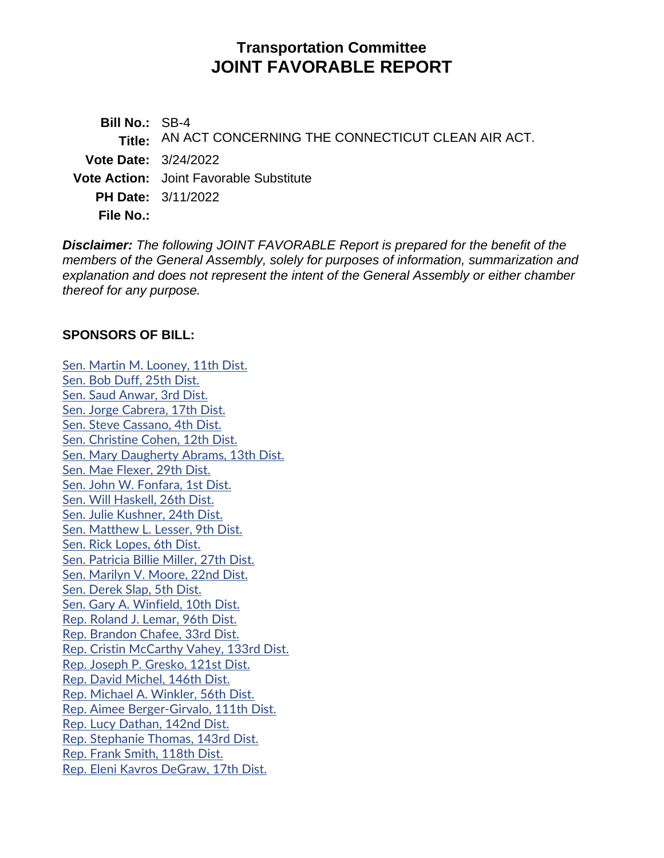# **Transportation Committee JOINT FAVORABLE REPORT**

**Bill No.:** SB-4 **Title:** AN ACT CONCERNING THE CONNECTICUT CLEAN AIR ACT. **Vote Date:** 3/24/2022 **Vote Action:** Joint Favorable Substitute **PH Date:** 3/11/2022 **File No.:**

*Disclaimer: The following JOINT FAVORABLE Report is prepared for the benefit of the members of the General Assembly, solely for purposes of information, summarization and explanation and does not represent the intent of the General Assembly or either chamber thereof for any purpose.*

## **SPONSORS OF BILL:**

[Sen. Martin M. Looney, 11th Dist.](https://www.cga.ct.gov/asp/CGABillStatus/CGAMemberBills.asp?dist_code=%27S11%27) [Sen. Bob Duff, 25th Dist.](https://www.cga.ct.gov/asp/CGABillStatus/CGAMemberBills.asp?dist_code=%27S25%27) [Sen. Saud Anwar, 3rd Dist.](https://www.cga.ct.gov/asp/CGABillStatus/CGAMemberBills.asp?dist_code=%27S03%27) [Sen. Jorge Cabrera, 17th Dist.](https://www.cga.ct.gov/asp/CGABillStatus/CGAMemberBills.asp?dist_code=%27S17%27) [Sen. Steve Cassano, 4th Dist.](https://www.cga.ct.gov/asp/CGABillStatus/CGAMemberBills.asp?dist_code=%27S04%27) [Sen. Christine Cohen, 12th Dist.](https://www.cga.ct.gov/asp/CGABillStatus/CGAMemberBills.asp?dist_code=%27S12%27) [Sen. Mary Daugherty Abrams, 13th Dist.](https://www.cga.ct.gov/asp/CGABillStatus/CGAMemberBills.asp?dist_code=%27S13%27) [Sen. Mae Flexer, 29th Dist.](https://www.cga.ct.gov/asp/CGABillStatus/CGAMemberBills.asp?dist_code=%27S29%27) [Sen. John W. Fonfara, 1st Dist.](https://www.cga.ct.gov/asp/CGABillStatus/CGAMemberBills.asp?dist_code=%27S01%27) [Sen. Will Haskell, 26th Dist.](https://www.cga.ct.gov/asp/CGABillStatus/CGAMemberBills.asp?dist_code=%27S26%27) [Sen. Julie Kushner, 24th Dist.](https://www.cga.ct.gov/asp/CGABillStatus/CGAMemberBills.asp?dist_code=%27S24%27) [Sen. Matthew L. Lesser, 9th Dist.](https://www.cga.ct.gov/asp/CGABillStatus/CGAMemberBills.asp?dist_code=%27S09%27) [Sen. Rick Lopes, 6th Dist.](https://www.cga.ct.gov/asp/CGABillStatus/CGAMemberBills.asp?dist_code=%27S06%27) [Sen. Patricia Billie Miller, 27th Dist.](https://www.cga.ct.gov/asp/CGABillStatus/CGAMemberBills.asp?dist_code=%27S27%27) [Sen. Marilyn V. Moore, 22nd Dist.](https://www.cga.ct.gov/asp/CGABillStatus/CGAMemberBills.asp?dist_code=%27S22%27) [Sen. Derek Slap, 5th Dist.](https://www.cga.ct.gov/asp/CGABillStatus/CGAMemberBills.asp?dist_code=%27S05%27) [Sen. Gary A. Winfield, 10th Dist.](https://www.cga.ct.gov/asp/CGABillStatus/CGAMemberBills.asp?dist_code=%27S10%27) [Rep. Roland J. Lemar, 96th Dist.](https://www.cga.ct.gov/asp/CGABillStatus/CGAMemberBills.asp?dist_code=%27096%27) [Rep. Brandon Chafee, 33rd Dist.](https://www.cga.ct.gov/asp/CGABillStatus/CGAMemberBills.asp?dist_code=%27033%27) [Rep. Cristin McCarthy Vahey, 133rd Dist.](https://www.cga.ct.gov/asp/CGABillStatus/CGAMemberBills.asp?dist_code=%27133%27) [Rep. Joseph P. Gresko, 121st Dist.](https://www.cga.ct.gov/asp/CGABillStatus/CGAMemberBills.asp?dist_code=%27121%27) [Rep. David Michel, 146th Dist.](https://www.cga.ct.gov/asp/CGABillStatus/CGAMemberBills.asp?dist_code=%27146%27) [Rep. Michael A. Winkler, 56th Dist.](https://www.cga.ct.gov/asp/CGABillStatus/CGAMemberBills.asp?dist_code=%27056%27) [Rep. Aimee Berger-Girvalo, 111th Dist.](https://www.cga.ct.gov/asp/CGABillStatus/CGAMemberBills.asp?dist_code=%27111%27) [Rep. Lucy Dathan, 142nd Dist.](https://www.cga.ct.gov/asp/CGABillStatus/CGAMemberBills.asp?dist_code=%27142%27) [Rep. Stephanie Thomas, 143rd Dist.](https://www.cga.ct.gov/asp/CGABillStatus/CGAMemberBills.asp?dist_code=%27143%27) [Rep. Frank Smith, 118th Dist.](https://www.cga.ct.gov/asp/CGABillStatus/CGAMemberBills.asp?dist_code=%27118%27) Rep. Eleni [Kavros DeGraw, 17th Dist.](https://www.cga.ct.gov/asp/CGABillStatus/CGAMemberBills.asp?dist_code=%27017%27)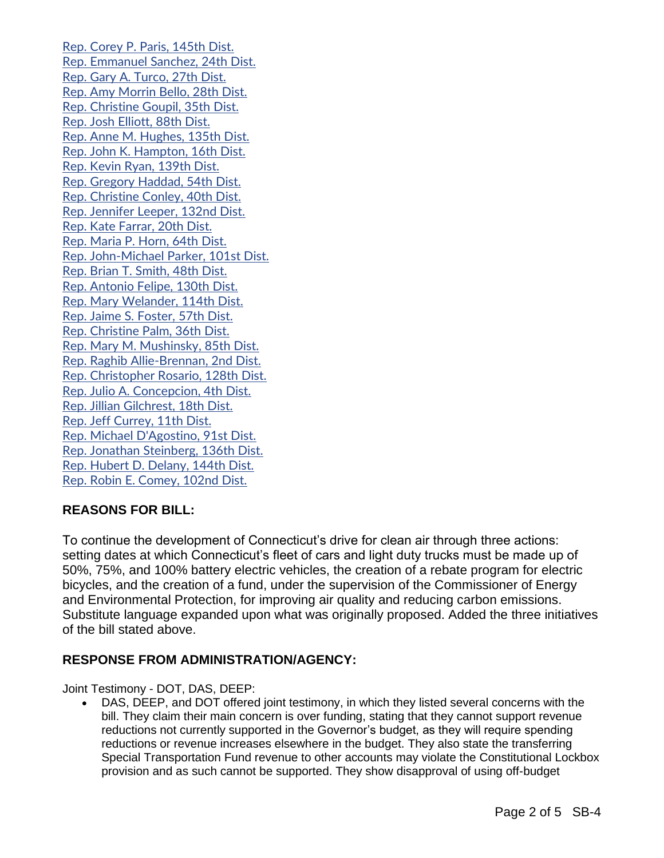[Rep. Corey P. Paris, 145th Dist.](https://www.cga.ct.gov/asp/CGABillStatus/CGAMemberBills.asp?dist_code=%27145%27) [Rep. Emmanuel Sanchez, 24th Dist.](https://www.cga.ct.gov/asp/CGABillStatus/CGAMemberBills.asp?dist_code=%27024%27) [Rep. Gary A. Turco, 27th Dist.](https://www.cga.ct.gov/asp/CGABillStatus/CGAMemberBills.asp?dist_code=%27027%27) [Rep. Amy Morrin Bello, 28th Dist.](https://www.cga.ct.gov/asp/CGABillStatus/CGAMemberBills.asp?dist_code=%27028%27) [Rep. Christine Goupil, 35th Dist.](https://www.cga.ct.gov/asp/CGABillStatus/CGAMemberBills.asp?dist_code=%27035%27) [Rep. Josh Elliott, 88th Dist.](https://www.cga.ct.gov/asp/CGABillStatus/CGAMemberBills.asp?dist_code=%27088%27) [Rep. Anne M. Hughes, 135th Dist.](https://www.cga.ct.gov/asp/CGABillStatus/CGAMemberBills.asp?dist_code=%27135%27) [Rep. John K. Hampton, 16th Dist.](https://www.cga.ct.gov/asp/CGABillStatus/CGAMemberBills.asp?dist_code=%27016%27) [Rep. Kevin Ryan, 139th Dist.](https://www.cga.ct.gov/asp/CGABillStatus/CGAMemberBills.asp?dist_code=%27139%27) [Rep. Gregory Haddad, 54th Dist.](https://www.cga.ct.gov/asp/CGABillStatus/CGAMemberBills.asp?dist_code=%27054%27) [Rep. Christine Conley, 40th Dist.](https://www.cga.ct.gov/asp/CGABillStatus/CGAMemberBills.asp?dist_code=%27040%27) [Rep. Jennifer Leeper, 132nd Dist.](https://www.cga.ct.gov/asp/CGABillStatus/CGAMemberBills.asp?dist_code=%27132%27) [Rep. Kate Farrar, 20th Dist.](https://www.cga.ct.gov/asp/CGABillStatus/CGAMemberBills.asp?dist_code=%27020%27) [Rep. Maria P. Horn, 64th Dist.](https://www.cga.ct.gov/asp/CGABillStatus/CGAMemberBills.asp?dist_code=%27064%27) [Rep. John-Michael Parker, 101st Dist.](https://www.cga.ct.gov/asp/CGABillStatus/CGAMemberBills.asp?dist_code=%27101%27) [Rep. Brian T. Smith, 48th Dist.](https://www.cga.ct.gov/asp/CGABillStatus/CGAMemberBills.asp?dist_code=%27048%27) [Rep. Antonio Felipe, 130th Dist.](https://www.cga.ct.gov/asp/CGABillStatus/CGAMemberBills.asp?dist_code=%27130%27) [Rep. Mary Welander, 114th Dist.](https://www.cga.ct.gov/asp/CGABillStatus/CGAMemberBills.asp?dist_code=%27114%27) [Rep. Jaime S. Foster, 57th Dist.](https://www.cga.ct.gov/asp/CGABillStatus/CGAMemberBills.asp?dist_code=%27057%27) [Rep. Christine Palm, 36th Dist.](https://www.cga.ct.gov/asp/CGABillStatus/CGAMemberBills.asp?dist_code=%27036%27) [Rep. Mary M. Mushinsky, 85th Dist.](https://www.cga.ct.gov/asp/CGABillStatus/CGAMemberBills.asp?dist_code=%27085%27) [Rep. Raghib Allie-Brennan, 2nd Dist.](https://www.cga.ct.gov/asp/CGABillStatus/CGAMemberBills.asp?dist_code=%27002%27) [Rep. Christopher Rosario, 128th Dist.](https://www.cga.ct.gov/asp/CGABillStatus/CGAMemberBills.asp?dist_code=%27128%27) [Rep. Julio A. Concepcion, 4th Dist.](https://www.cga.ct.gov/asp/CGABillStatus/CGAMemberBills.asp?dist_code=%27004%27) [Rep. Jillian Gilchrest, 18th Dist.](https://www.cga.ct.gov/asp/CGABillStatus/CGAMemberBills.asp?dist_code=%27018%27) [Rep. Jeff Currey, 11th Dist.](https://www.cga.ct.gov/asp/CGABillStatus/CGAMemberBills.asp?dist_code=%27011%27) [Rep. Michael D'Agostino, 91st Dist.](https://www.cga.ct.gov/asp/CGABillStatus/CGAMemberBills.asp?dist_code=%27091%27) [Rep. Jonathan Steinberg, 136th Dist.](https://www.cga.ct.gov/asp/CGABillStatus/CGAMemberBills.asp?dist_code=%27136%27) [Rep. Hubert D. Delany, 144th Dist.](https://www.cga.ct.gov/asp/CGABillStatus/CGAMemberBills.asp?dist_code=%27144%27) [Rep. Robin E. Comey, 102nd Dist.](https://www.cga.ct.gov/asp/CGABillStatus/CGAMemberBills.asp?dist_code=%27102%27)

## **REASONS FOR BILL:**

To continue the development of Connecticut's drive for clean air through three actions: setting dates at which Connecticut's fleet of cars and light duty trucks must be made up of 50%, 75%, and 100% battery electric vehicles, the creation of a rebate program for electric bicycles, and the creation of a fund, under the supervision of the Commissioner of Energy and Environmental Protection, for improving air quality and reducing carbon emissions. Substitute language expanded upon what was originally proposed. Added the three initiatives of the bill stated above.

## **RESPONSE FROM ADMINISTRATION/AGENCY:**

Joint Testimony - DOT, DAS, DEEP:

• DAS, DEEP, and DOT offered joint testimony, in which they listed several concerns with the bill. They claim their main concern is over funding, stating that they cannot support revenue reductions not currently supported in the Governor's budget, as they will require spending reductions or revenue increases elsewhere in the budget. They also state the transferring Special Transportation Fund revenue to other accounts may violate the Constitutional Lockbox provision and as such cannot be supported. They show disapproval of using off-budget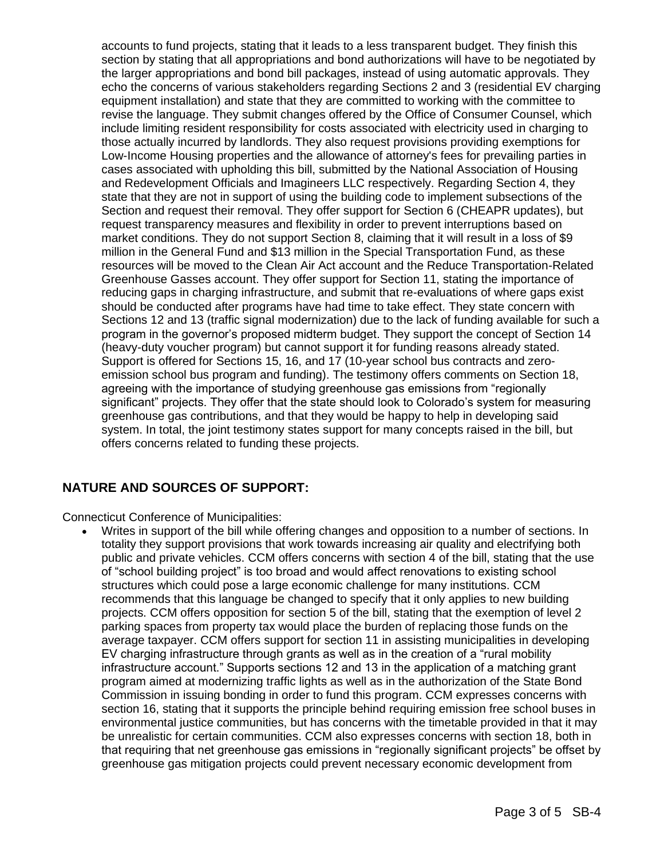accounts to fund projects, stating that it leads to a less transparent budget. They finish this section by stating that all appropriations and bond authorizations will have to be negotiated by the larger appropriations and bond bill packages, instead of using automatic approvals. They echo the concerns of various stakeholders regarding Sections 2 and 3 (residential EV charging equipment installation) and state that they are committed to working with the committee to revise the language. They submit changes offered by the Office of Consumer Counsel, which include limiting resident responsibility for costs associated with electricity used in charging to those actually incurred by landlords. They also request provisions providing exemptions for Low-Income Housing properties and the allowance of attorney's fees for prevailing parties in cases associated with upholding this bill, submitted by the National Association of Housing and Redevelopment Officials and Imagineers LLC respectively. Regarding Section 4, they state that they are not in support of using the building code to implement subsections of the Section and request their removal. They offer support for Section 6 (CHEAPR updates), but request transparency measures and flexibility in order to prevent interruptions based on market conditions. They do not support Section 8, claiming that it will result in a loss of \$9 million in the General Fund and \$13 million in the Special Transportation Fund, as these resources will be moved to the Clean Air Act account and the Reduce Transportation-Related Greenhouse Gasses account. They offer support for Section 11, stating the importance of reducing gaps in charging infrastructure, and submit that re-evaluations of where gaps exist should be conducted after programs have had time to take effect. They state concern with Sections 12 and 13 (traffic signal modernization) due to the lack of funding available for such a program in the governor's proposed midterm budget. They support the concept of Section 14 (heavy-duty voucher program) but cannot support it for funding reasons already stated. Support is offered for Sections 15, 16, and 17 (10-year school bus contracts and zeroemission school bus program and funding). The testimony offers comments on Section 18, agreeing with the importance of studying greenhouse gas emissions from "regionally significant" projects. They offer that the state should look to Colorado's system for measuring greenhouse gas contributions, and that they would be happy to help in developing said system. In total, the joint testimony states support for many concepts raised in the bill, but offers concerns related to funding these projects.

## **NATURE AND SOURCES OF SUPPORT:**

Connecticut Conference of Municipalities:

• Writes in support of the bill while offering changes and opposition to a number of sections. In totality they support provisions that work towards increasing air quality and electrifying both public and private vehicles. CCM offers concerns with section 4 of the bill, stating that the use of "school building project" is too broad and would affect renovations to existing school structures which could pose a large economic challenge for many institutions. CCM recommends that this language be changed to specify that it only applies to new building projects. CCM offers opposition for section 5 of the bill, stating that the exemption of level 2 parking spaces from property tax would place the burden of replacing those funds on the average taxpayer. CCM offers support for section 11 in assisting municipalities in developing EV charging infrastructure through grants as well as in the creation of a "rural mobility infrastructure account." Supports sections 12 and 13 in the application of a matching grant program aimed at modernizing traffic lights as well as in the authorization of the State Bond Commission in issuing bonding in order to fund this program. CCM expresses concerns with section 16, stating that it supports the principle behind requiring emission free school buses in environmental justice communities, but has concerns with the timetable provided in that it may be unrealistic for certain communities. CCM also expresses concerns with section 18, both in that requiring that net greenhouse gas emissions in "regionally significant projects" be offset by greenhouse gas mitigation projects could prevent necessary economic development from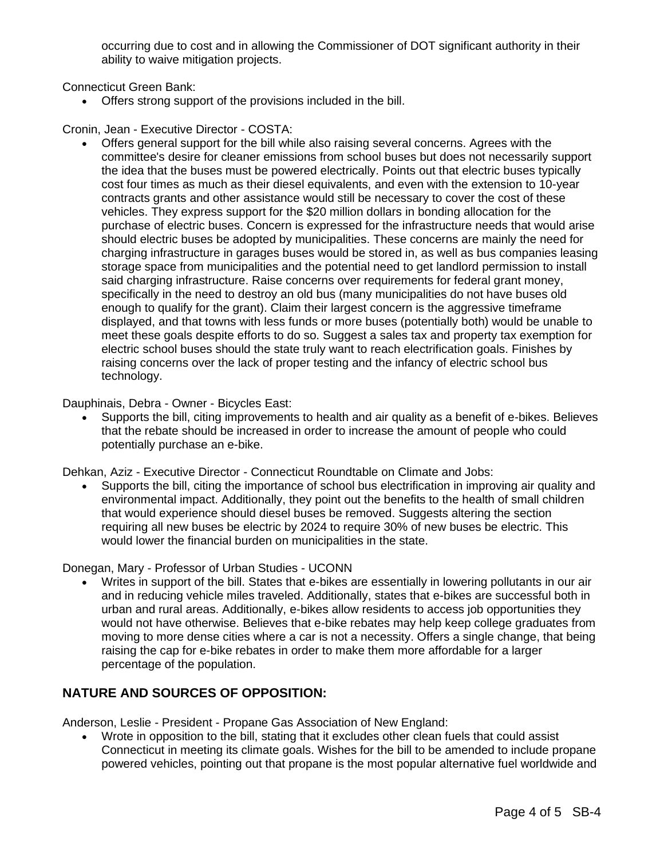occurring due to cost and in allowing the Commissioner of DOT significant authority in their ability to waive mitigation projects.

Connecticut Green Bank:

• Offers strong support of the provisions included in the bill.

Cronin, Jean - Executive Director - COSTA:

• Offers general support for the bill while also raising several concerns. Agrees with the committee's desire for cleaner emissions from school buses but does not necessarily support the idea that the buses must be powered electrically. Points out that electric buses typically cost four times as much as their diesel equivalents, and even with the extension to 10-year contracts grants and other assistance would still be necessary to cover the cost of these vehicles. They express support for the \$20 million dollars in bonding allocation for the purchase of electric buses. Concern is expressed for the infrastructure needs that would arise should electric buses be adopted by municipalities. These concerns are mainly the need for charging infrastructure in garages buses would be stored in, as well as bus companies leasing storage space from municipalities and the potential need to get landlord permission to install said charging infrastructure. Raise concerns over requirements for federal grant money, specifically in the need to destroy an old bus (many municipalities do not have buses old enough to qualify for the grant). Claim their largest concern is the aggressive timeframe displayed, and that towns with less funds or more buses (potentially both) would be unable to meet these goals despite efforts to do so. Suggest a sales tax and property tax exemption for electric school buses should the state truly want to reach electrification goals. Finishes by raising concerns over the lack of proper testing and the infancy of electric school bus technology.

Dauphinais, Debra - Owner - Bicycles East:

• Supports the bill, citing improvements to health and air quality as a benefit of e-bikes. Believes that the rebate should be increased in order to increase the amount of people who could potentially purchase an e-bike.

Dehkan, Aziz - Executive Director - Connecticut Roundtable on Climate and Jobs:

• Supports the bill, citing the importance of school bus electrification in improving air quality and environmental impact. Additionally, they point out the benefits to the health of small children that would experience should diesel buses be removed. Suggests altering the section requiring all new buses be electric by 2024 to require 30% of new buses be electric. This would lower the financial burden on municipalities in the state.

Donegan, Mary - Professor of Urban Studies - UCONN

• Writes in support of the bill. States that e-bikes are essentially in lowering pollutants in our air and in reducing vehicle miles traveled. Additionally, states that e-bikes are successful both in urban and rural areas. Additionally, e-bikes allow residents to access job opportunities they would not have otherwise. Believes that e-bike rebates may help keep college graduates from moving to more dense cities where a car is not a necessity. Offers a single change, that being raising the cap for e-bike rebates in order to make them more affordable for a larger percentage of the population.

## **NATURE AND SOURCES OF OPPOSITION:**

Anderson, Leslie - President - Propane Gas Association of New England:

• Wrote in opposition to the bill, stating that it excludes other clean fuels that could assist Connecticut in meeting its climate goals. Wishes for the bill to be amended to include propane powered vehicles, pointing out that propane is the most popular alternative fuel worldwide and